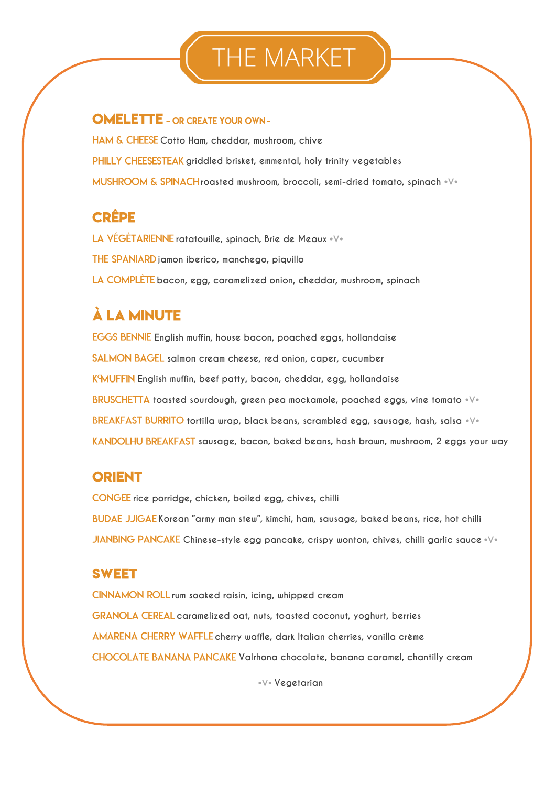# THE MARKET

#### **OMELETTE** - OR CREATE YOUR OWN-

**HAM & CHEESE** Cotto Ham, cheddar, mushroom, chive **PHILLY CHEESESTEAK** griddled brisket, emmental, holy trinity vegetables **MUSHROOM & SPINACH roasted mushroom, broccoli, semi-dried tomato, spinach**  $\sqrt[6]{\cdot}$ 

### **CRÊPE**

LA VÉGÉTARIENNE ratatouille, spinach, Brie de Meaux <sup>.</sup> V<sup>.</sup> **THE SPANIARD jamon iberico, manchego, piquillo** LA COMPLETE bacon, egg, caramelized onion, cheddar, mushroom, spinach

## À LA MINUTE

**EGGS BENNIE English muffin, house bacon, poached eggs, hollandaise salmon cream cheese, red onion, caper, cucumber English muffin, beef patty, bacon, cheddar, egg, hollandaise BRUSCHETTA** toasted sourdough, green pea mockamole, poached eggs, vine tomato  $\sqrt[6]{\cdot}$ **BREAKFAST BURRITO** tortilla wrap, black beans, scrambled egg, sausage, hash, salsa · V· KANDOLHU BREAKFAST sausage, bacon, baked beans, hash brown, mushroom, 2 eggs your way

#### **ORIENT**

**rice porridge, chicken, boiled egg, chives, chilli Korean "army man stew", kimchi, ham, sausage, baked beans, rice, hot chilli** JIANBING PANCAKE Chinese-style egg pancake, crispy wonton, chives, chilli garlic sauce *V*<sup>®</sup>

#### **SWEET**

**CINNAMON ROLL** rum soaked raisin, icing, whipped cream **GRANOLA CEREAL** caramelized oat, nuts, toasted coconut, yoghurt, berries **cherry waffle, dark Italian cherries, vanilla crème CHOCOLATE BANANA PANCAKE Valrhona chocolate, banana caramel, chantilly cream** 

**Vegetarian**